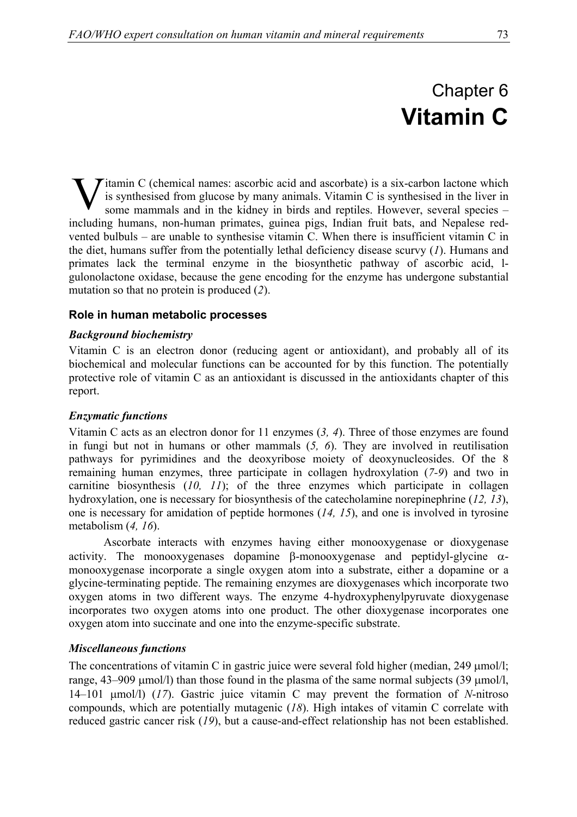# Chapter 6 **Vitamin C**

 $\triangleright$  itamin C (chemical names: ascorbic acid and ascorbate) is a six-carbon lactone which is synthesised from glucose by many animals. Vitamin C is synthesised in the liver in some mammals and in the kidney in birds and reptiles. However, several species – including humans, non-human primates, guinea pigs, Indian fruit bats, and Nepalese redvented bulbuls – are unable to synthesise vitamin C. When there is insufficient vitamin C in the diet, humans suffer from the potentially lethal deficiency disease scurvy (*1*). Humans and primates lack the terminal enzyme in the biosynthetic pathway of ascorbic acid, lgulonolactone oxidase, because the gene encoding for the enzyme has undergone substantial mutation so that no protein is produced (*2*). V

## **Role in human metabolic processes**

#### *Background biochemistry*

Vitamin C is an electron donor (reducing agent or antioxidant), and probably all of its biochemical and molecular functions can be accounted for by this function. The potentially protective role of vitamin C as an antioxidant is discussed in the antioxidants chapter of this report.

## *Enzymatic functions*

Vitamin C acts as an electron donor for 11 enzymes (*3, 4*). Three of those enzymes are found in fungi but not in humans or other mammals (*5, 6*). They are involved in reutilisation pathways for pyrimidines and the deoxyribose moiety of deoxynucleosides. Of the 8 remaining human enzymes, three participate in collagen hydroxylation (*7-9*) and two in carnitine biosynthesis (*10, 11*); of the three enzymes which participate in collagen hydroxylation, one is necessary for biosynthesis of the catecholamine norepinephrine (*12, 13*), one is necessary for amidation of peptide hormones (*14, 15*), and one is involved in tyrosine metabolism (*4, 16*).

Ascorbate interacts with enzymes having either monooxygenase or dioxygenase activity. The monooxygenases dopamine β-monooxygenase and peptidyl-glycine  $\alpha$ monooxygenase incorporate a single oxygen atom into a substrate, either a dopamine or a glycine-terminating peptide. The remaining enzymes are dioxygenases which incorporate two oxygen atoms in two different ways. The enzyme 4-hydroxyphenylpyruvate dioxygenase incorporates two oxygen atoms into one product. The other dioxygenase incorporates one oxygen atom into succinate and one into the enzyme-specific substrate.

## *Miscellaneous functions*

The concentrations of vitamin C in gastric juice were several fold higher (median, 249 µmol/l; range, 43–909 µmol/l) than those found in the plasma of the same normal subjects (39 µmol/l, 14–101 µmol/l) (*17*). Gastric juice vitamin C may prevent the formation of *N*-nitroso compounds, which are potentially mutagenic (*18*). High intakes of vitamin C correlate with reduced gastric cancer risk (*19*), but a cause-and-effect relationship has not been established.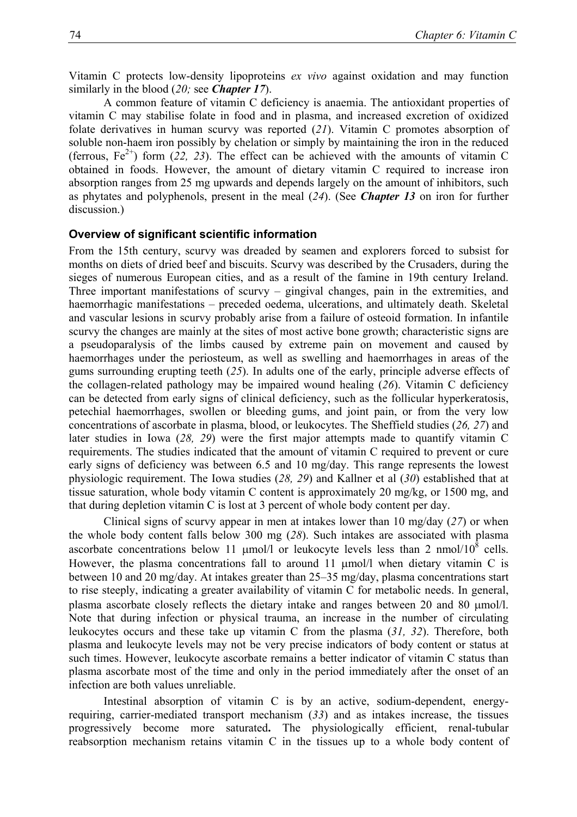Vitamin C protects low-density lipoproteins *ex vivo* against oxidation and may function similarly in the blood (*20;* see *Chapter 17*).

A common feature of vitamin C deficiency is anaemia. The antioxidant properties of vitamin C may stabilise folate in food and in plasma, and increased excretion of oxidized folate derivatives in human scurvy was reported (*21*). Vitamin C promotes absorption of soluble non-haem iron possibly by chelation or simply by maintaining the iron in the reduced (ferrous,  $Fe^{2+}$ ) form (22, 23). The effect can be achieved with the amounts of vitamin C obtained in foods. However, the amount of dietary vitamin C required to increase iron absorption ranges from 25 mg upwards and depends largely on the amount of inhibitors, such as phytates and polyphenols, present in the meal (*24*). (See *Chapter 13* on iron for further discussion.)

#### **Overview of significant scientific information**

From the 15th century, scurvy was dreaded by seamen and explorers forced to subsist for months on diets of dried beef and biscuits. Scurvy was described by the Crusaders, during the sieges of numerous European cities, and as a result of the famine in 19th century Ireland. Three important manifestations of scurvy – gingival changes, pain in the extremities, and haemorrhagic manifestations – preceded oedema, ulcerations, and ultimately death. Skeletal and vascular lesions in scurvy probably arise from a failure of osteoid formation. In infantile scurvy the changes are mainly at the sites of most active bone growth; characteristic signs are a pseudoparalysis of the limbs caused by extreme pain on movement and caused by haemorrhages under the periosteum, as well as swelling and haemorrhages in areas of the gums surrounding erupting teeth (*25*). In adults one of the early, principle adverse effects of the collagen-related pathology may be impaired wound healing (*26*). Vitamin C deficiency can be detected from early signs of clinical deficiency, such as the follicular hyperkeratosis, petechial haemorrhages, swollen or bleeding gums, and joint pain, or from the very low concentrations of ascorbate in plasma, blood, or leukocytes. The Sheffield studies (*26, 27*) and later studies in Iowa (*28, 29*) were the first major attempts made to quantify vitamin C requirements. The studies indicated that the amount of vitamin C required to prevent or cure early signs of deficiency was between 6.5 and 10 mg/day. This range represents the lowest physiologic requirement. The Iowa studies (*28, 29*) and Kallner et al (*30*) established that at tissue saturation, whole body vitamin C content is approximately 20 mg/kg, or 1500 mg, and that during depletion vitamin C is lost at 3 percent of whole body content per day.

Clinical signs of scurvy appear in men at intakes lower than 10 mg/day (*27*) or when the whole body content falls below 300 mg (*28*). Such intakes are associated with plasma ascorbate concentrations below 11  $\mu$ mol/l or leukocyte levels less than 2 nmol/10<sup>8</sup> cells. However, the plasma concentrations fall to around 11  $\mu$ mol/l when dietary vitamin C is between 10 and 20 mg/day. At intakes greater than 25–35 mg/day, plasma concentrations start to rise steeply, indicating a greater availability of vitamin C for metabolic needs. In general, plasma ascorbate closely reflects the dietary intake and ranges between 20 and 80 µmol/l. Note that during infection or physical trauma, an increase in the number of circulating leukocytes occurs and these take up vitamin C from the plasma (*31, 32*). Therefore, both plasma and leukocyte levels may not be very precise indicators of body content or status at such times. However, leukocyte ascorbate remains a better indicator of vitamin C status than plasma ascorbate most of the time and only in the period immediately after the onset of an infection are both values unreliable.

Intestinal absorption of vitamin C is by an active, sodium-dependent, energyrequiring, carrier-mediated transport mechanism (*33*) and as intakes increase, the tissues progressively become more saturated**.** The physiologically efficient, renal-tubular reabsorption mechanism retains vitamin C in the tissues up to a whole body content of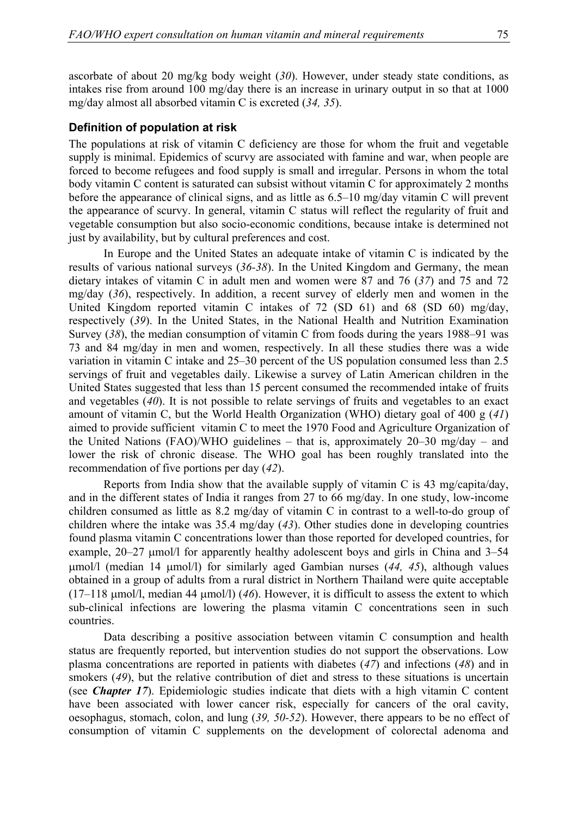ascorbate of about 20 mg/kg body weight (*30*). However, under steady state conditions, as intakes rise from around 100 mg/day there is an increase in urinary output in so that at 1000 mg/day almost all absorbed vitamin C is excreted (*34, 35*).

#### **Definition of population at risk**

The populations at risk of vitamin C deficiency are those for whom the fruit and vegetable supply is minimal. Epidemics of scurvy are associated with famine and war, when people are forced to become refugees and food supply is small and irregular. Persons in whom the total body vitamin C content is saturated can subsist without vitamin C for approximately 2 months before the appearance of clinical signs, and as little as 6.5–10 mg/day vitamin C will prevent the appearance of scurvy. In general, vitamin C status will reflect the regularity of fruit and vegetable consumption but also socio-economic conditions, because intake is determined not just by availability, but by cultural preferences and cost.

In Europe and the United States an adequate intake of vitamin C is indicated by the results of various national surveys (*36-38*). In the United Kingdom and Germany, the mean dietary intakes of vitamin C in adult men and women were 87 and 76 (*37*) and 75 and 72 mg/day (*36*), respectively. In addition, a recent survey of elderly men and women in the United Kingdom reported vitamin C intakes of 72 (SD 61) and 68 (SD 60) mg/day, respectively (*39*). In the United States, in the National Health and Nutrition Examination Survey (*38*), the median consumption of vitamin C from foods during the years 1988–91 was 73 and 84 mg/day in men and women, respectively. In all these studies there was a wide variation in vitamin C intake and 25–30 percent of the US population consumed less than 2.5 servings of fruit and vegetables daily. Likewise a survey of Latin American children in the United States suggested that less than 15 percent consumed the recommended intake of fruits and vegetables (*40*). It is not possible to relate servings of fruits and vegetables to an exact amount of vitamin C, but the World Health Organization (WHO) dietary goal of 400 g (*41*) aimed to provide sufficient vitamin C to meet the 1970 Food and Agriculture Organization of the United Nations (FAO)/WHO guidelines – that is, approximately 20–30 mg/day – and lower the risk of chronic disease. The WHO goal has been roughly translated into the recommendation of five portions per day (*42*).

Reports from India show that the available supply of vitamin C is 43 mg/capita/day, and in the different states of India it ranges from 27 to 66 mg/day. In one study, low-income children consumed as little as 8.2 mg/day of vitamin C in contrast to a well-to-do group of children where the intake was 35.4 mg/day (*43*). Other studies done in developing countries found plasma vitamin C concentrations lower than those reported for developed countries, for example, 20–27  $\mu$ mol/l for apparently healthy adolescent boys and girls in China and 3–54 µmol/l (median 14 µmol/l) for similarly aged Gambian nurses (*44, 45*), although values obtained in a group of adults from a rural district in Northern Thailand were quite acceptable (17–118 µmol/l, median 44 µmol/l) (*46*). However, it is difficult to assess the extent to which sub-clinical infections are lowering the plasma vitamin C concentrations seen in such countries.

Data describing a positive association between vitamin C consumption and health status are frequently reported, but intervention studies do not support the observations. Low plasma concentrations are reported in patients with diabetes (*47*) and infections (*48*) and in smokers (49), but the relative contribution of diet and stress to these situations is uncertain (see *Chapter 17*). Epidemiologic studies indicate that diets with a high vitamin C content have been associated with lower cancer risk, especially for cancers of the oral cavity, oesophagus, stomach, colon, and lung (*39, 50-52*). However, there appears to be no effect of consumption of vitamin C supplements on the development of colorectal adenoma and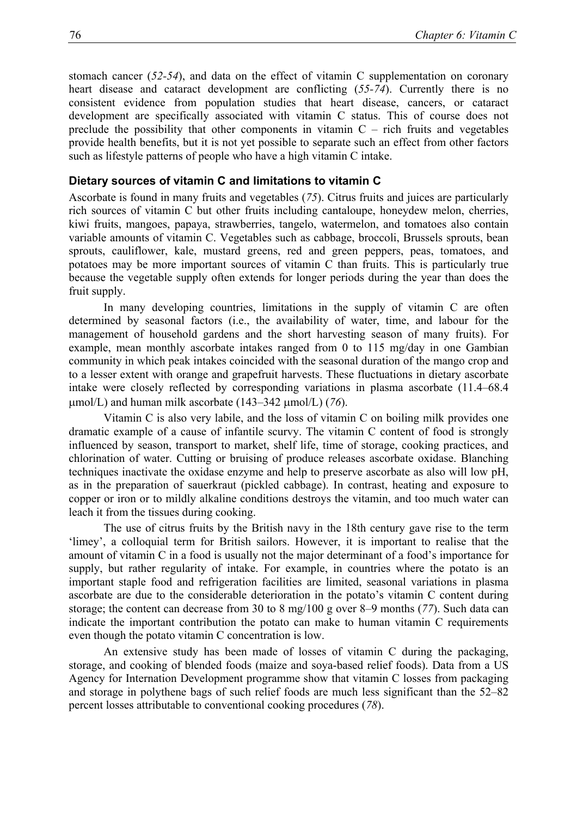stomach cancer (*52-54*), and data on the effect of vitamin C supplementation on coronary heart disease and cataract development are conflicting (*55-74*). Currently there is no consistent evidence from population studies that heart disease, cancers, or cataract development are specifically associated with vitamin C status. This of course does not preclude the possibility that other components in vitamin  $C -$  rich fruits and vegetables provide health benefits, but it is not yet possible to separate such an effect from other factors such as lifestyle patterns of people who have a high vitamin C intake.

#### **Dietary sources of vitamin C and limitations to vitamin C**

Ascorbate is found in many fruits and vegetables (*75*). Citrus fruits and juices are particularly rich sources of vitamin C but other fruits including cantaloupe, honeydew melon, cherries, kiwi fruits, mangoes, papaya, strawberries, tangelo, watermelon, and tomatoes also contain variable amounts of vitamin C. Vegetables such as cabbage, broccoli, Brussels sprouts, bean sprouts, cauliflower, kale, mustard greens, red and green peppers, peas, tomatoes, and potatoes may be more important sources of vitamin C than fruits. This is particularly true because the vegetable supply often extends for longer periods during the year than does the fruit supply.

In many developing countries, limitations in the supply of vitamin C are often determined by seasonal factors (i.e., the availability of water, time, and labour for the management of household gardens and the short harvesting season of many fruits). For example, mean monthly ascorbate intakes ranged from 0 to 115 mg/day in one Gambian community in which peak intakes coincided with the seasonal duration of the mango crop and to a lesser extent with orange and grapefruit harvests. These fluctuations in dietary ascorbate intake were closely reflected by corresponding variations in plasma ascorbate (11.4–68.4 µmol/L) and human milk ascorbate (143–342 µmol/L) (*76*).

Vitamin C is also very labile, and the loss of vitamin C on boiling milk provides one dramatic example of a cause of infantile scurvy. The vitamin C content of food is strongly influenced by season, transport to market, shelf life, time of storage, cooking practices, and chlorination of water. Cutting or bruising of produce releases ascorbate oxidase. Blanching techniques inactivate the oxidase enzyme and help to preserve ascorbate as also will low pH, as in the preparation of sauerkraut (pickled cabbage). In contrast, heating and exposure to copper or iron or to mildly alkaline conditions destroys the vitamin, and too much water can leach it from the tissues during cooking.

The use of citrus fruits by the British navy in the 18th century gave rise to the term 'limey', a colloquial term for British sailors. However, it is important to realise that the amount of vitamin C in a food is usually not the major determinant of a food's importance for supply, but rather regularity of intake. For example, in countries where the potato is an important staple food and refrigeration facilities are limited, seasonal variations in plasma ascorbate are due to the considerable deterioration in the potato's vitamin C content during storage; the content can decrease from 30 to 8 mg/100 g over 8–9 months (*77*). Such data can indicate the important contribution the potato can make to human vitamin C requirements even though the potato vitamin C concentration is low.

An extensive study has been made of losses of vitamin C during the packaging, storage, and cooking of blended foods (maize and soya-based relief foods). Data from a US Agency for Internation Development programme show that vitamin C losses from packaging and storage in polythene bags of such relief foods are much less significant than the 52–82 percent losses attributable to conventional cooking procedures (*78*).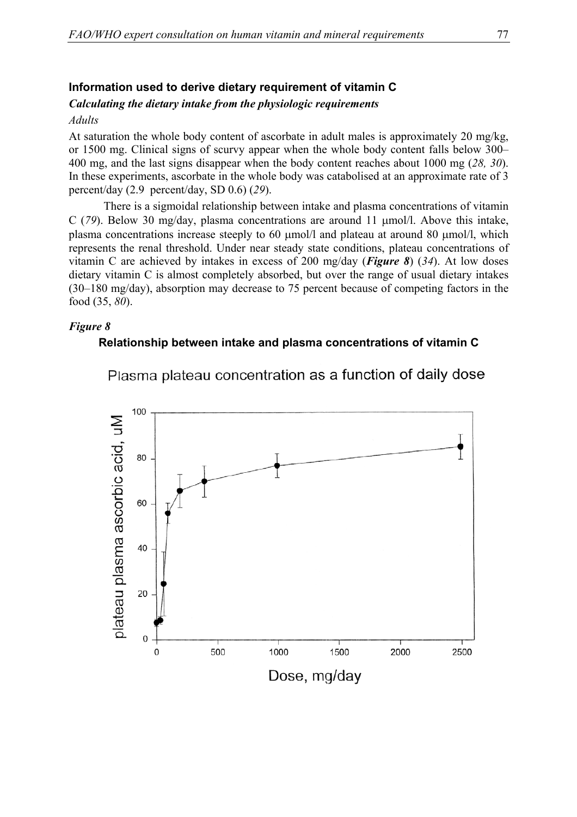## **Information used to derive dietary requirement of vitamin C**

## *Calculating the dietary intake from the physiologic requirements*

#### *Adults*

At saturation the whole body content of ascorbate in adult males is approximately 20 mg/kg, or 1500 mg. Clinical signs of scurvy appear when the whole body content falls below 300– 400 mg, and the last signs disappear when the body content reaches about 1000 mg (*28, 30*). In these experiments, ascorbate in the whole body was catabolised at an approximate rate of 3 percent/day (2.9 percent/day, SD 0.6) (*29*).

There is a sigmoidal relationship between intake and plasma concentrations of vitamin C (*79*). Below 30 mg/day, plasma concentrations are around 11 µmol/l. Above this intake, plasma concentrations increase steeply to 60  $\mu$ mol/l and plateau at around 80  $\mu$ mol/l, which represents the renal threshold. Under near steady state conditions, plateau concentrations of vitamin C are achieved by intakes in excess of 200 mg/day (*Figure 8*) (*34*). At low doses dietary vitamin C is almost completely absorbed, but over the range of usual dietary intakes (30–180 mg/day), absorption may decrease to 75 percent because of competing factors in the food (35, *80*).

#### *Figure 8*

## **Relationship between intake and plasma concentrations of vitamin C**



Plasma plateau concentration as a function of daily dose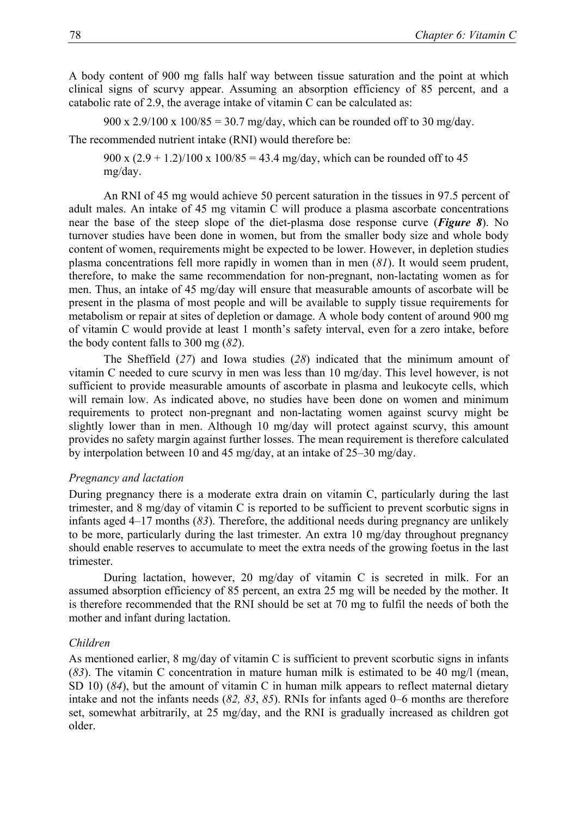A body content of 900 mg falls half way between tissue saturation and the point at which clinical signs of scurvy appear. Assuming an absorption efficiency of 85 percent, and a catabolic rate of 2.9, the average intake of vitamin C can be calculated as:

900 x 2.9/100 x 100/85 = 30.7 mg/day, which can be rounded off to 30 mg/day.

The recommended nutrient intake (RNI) would therefore be:

900 x  $(2.9 + 1.2)/100$  x  $100/85 = 43.4$  mg/day, which can be rounded off to 45 mg/day.

An RNI of 45 mg would achieve 50 percent saturation in the tissues in 97.5 percent of adult males. An intake of 45 mg vitamin C will produce a plasma ascorbate concentrations near the base of the steep slope of the diet-plasma dose response curve (*Figure 8*). No turnover studies have been done in women, but from the smaller body size and whole body content of women, requirements might be expected to be lower. However, in depletion studies plasma concentrations fell more rapidly in women than in men (*81*). It would seem prudent, therefore, to make the same recommendation for non-pregnant, non-lactating women as for men. Thus, an intake of 45 mg/day will ensure that measurable amounts of ascorbate will be present in the plasma of most people and will be available to supply tissue requirements for metabolism or repair at sites of depletion or damage. A whole body content of around 900 mg of vitamin C would provide at least 1 month's safety interval, even for a zero intake, before the body content falls to 300 mg (*82*).

The Sheffield (*27*) and Iowa studies (*28*) indicated that the minimum amount of vitamin C needed to cure scurvy in men was less than 10 mg/day. This level however, is not sufficient to provide measurable amounts of ascorbate in plasma and leukocyte cells, which will remain low. As indicated above, no studies have been done on women and minimum requirements to protect non-pregnant and non-lactating women against scurvy might be slightly lower than in men. Although 10 mg/day will protect against scurvy, this amount provides no safety margin against further losses. The mean requirement is therefore calculated by interpolation between 10 and 45 mg/day, at an intake of 25–30 mg/day.

#### *Pregnancy and lactation*

During pregnancy there is a moderate extra drain on vitamin C, particularly during the last trimester, and 8 mg/day of vitamin C is reported to be sufficient to prevent scorbutic signs in infants aged 4–17 months (*83*). Therefore, the additional needs during pregnancy are unlikely to be more, particularly during the last trimester. An extra 10 mg/day throughout pregnancy should enable reserves to accumulate to meet the extra needs of the growing foetus in the last trimester.

During lactation, however, 20 mg/day of vitamin C is secreted in milk. For an assumed absorption efficiency of 85 percent, an extra 25 mg will be needed by the mother. It is therefore recommended that the RNI should be set at 70 mg to fulfil the needs of both the mother and infant during lactation.

#### *Children*

As mentioned earlier, 8 mg/day of vitamin C is sufficient to prevent scorbutic signs in infants (*83*). The vitamin C concentration in mature human milk is estimated to be 40 mg/l (mean, SD 10) (*84*), but the amount of vitamin C in human milk appears to reflect maternal dietary intake and not the infants needs (*82, 83*, *85*). RNIs for infants aged 0–6 months are therefore set, somewhat arbitrarily, at 25 mg/day, and the RNI is gradually increased as children got older.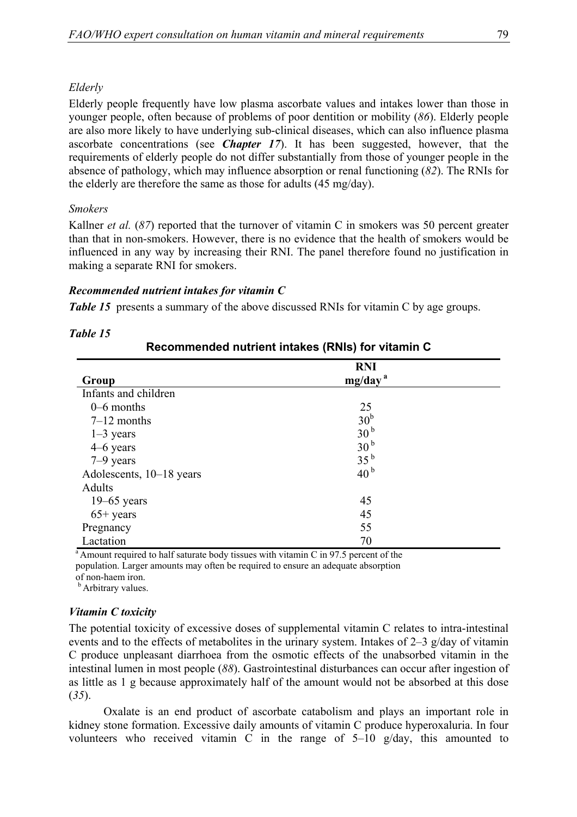## *Elderly*

Elderly people frequently have low plasma ascorbate values and intakes lower than those in younger people, often because of problems of poor dentition or mobility (*86*). Elderly people are also more likely to have underlying sub-clinical diseases, which can also influence plasma ascorbate concentrations (see *Chapter 17*). It has been suggested, however, that the requirements of elderly people do not differ substantially from those of younger people in the absence of pathology, which may influence absorption or renal functioning (*82*). The RNIs for the elderly are therefore the same as those for adults (45 mg/day).

## *Smokers*

Kallner *et al.* (*87*) reported that the turnover of vitamin C in smokers was 50 percent greater than that in non-smokers. However, there is no evidence that the health of smokers would be influenced in any way by increasing their RNI. The panel therefore found no justification in making a separate RNI for smokers.

## *Recommended nutrient intakes for vitamin C*

*Table 15* presents a summary of the above discussed RNIs for vitamin C by age groups.

| Recommended nutrient intakes (RNIs) for vitamin C |                                   |  |
|---------------------------------------------------|-----------------------------------|--|
| Group                                             | <b>RNI</b><br>mg/day <sup>a</sup> |  |
| Infants and children                              |                                   |  |
| $0-6$ months                                      | 25                                |  |
| $7-12$ months                                     | 30 <sup>b</sup>                   |  |
| $1-3$ years                                       | 30 <sup>b</sup>                   |  |
| $4-6$ years                                       | 30 <sup>b</sup>                   |  |
| $7-9$ years                                       | 35 <sup>b</sup>                   |  |
| Adolescents, 10–18 years                          | 40 <sup>b</sup>                   |  |
| Adults                                            |                                   |  |
| $19-65$ years                                     | 45                                |  |
| $65+$ years                                       | 45                                |  |
| Pregnancy                                         | 55                                |  |
| Lactation                                         | 70                                |  |

#### *Table 15*

 $a<sup>a</sup>$  Amount required to half saturate body tissues with vitamin C in 97.5 percent of the population. Larger amounts may often be required to ensure an adequate absorption of non-haem iron.

**b** Arbitrary values.

## *Vitamin C toxicity*

The potential toxicity of excessive doses of supplemental vitamin C relates to intra-intestinal events and to the effects of metabolites in the urinary system. Intakes of 2–3 g/day of vitamin C produce unpleasant diarrhoea from the osmotic effects of the unabsorbed vitamin in the intestinal lumen in most people (*88*). Gastrointestinal disturbances can occur after ingestion of as little as 1 g because approximately half of the amount would not be absorbed at this dose (*35*).

Oxalate is an end product of ascorbate catabolism and plays an important role in kidney stone formation. Excessive daily amounts of vitamin C produce hyperoxaluria. In four volunteers who received vitamin C in the range of 5–10 g/day, this amounted to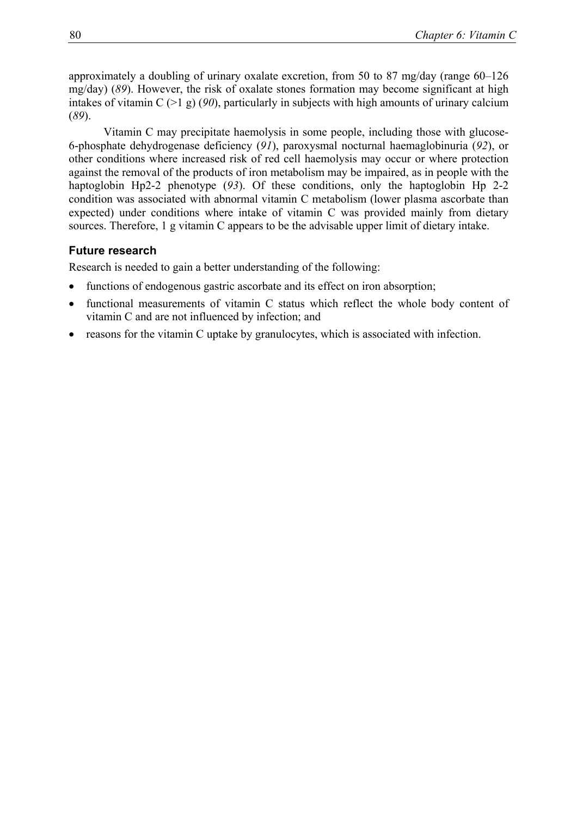approximately a doubling of urinary oxalate excretion, from 50 to 87 mg/day (range 60–126 mg/day) (*89*). However, the risk of oxalate stones formation may become significant at high intakes of vitamin C (>1 g) (*90*), particularly in subjects with high amounts of urinary calcium (*89*).

Vitamin C may precipitate haemolysis in some people, including those with glucose-6-phosphate dehydrogenase deficiency (*91*), paroxysmal nocturnal haemaglobinuria (*92*), or other conditions where increased risk of red cell haemolysis may occur or where protection against the removal of the products of iron metabolism may be impaired, as in people with the haptoglobin Hp2-2 phenotype (*93*). Of these conditions, only the haptoglobin Hp 2-2 condition was associated with abnormal vitamin C metabolism (lower plasma ascorbate than expected) under conditions where intake of vitamin C was provided mainly from dietary sources. Therefore, 1 g vitamin C appears to be the advisable upper limit of dietary intake.

## **Future research**

Research is needed to gain a better understanding of the following:

- functions of endogenous gastric ascorbate and its effect on iron absorption;
- functional measurements of vitamin C status which reflect the whole body content of vitamin C and are not influenced by infection; and
- reasons for the vitamin C uptake by granulocytes, which is associated with infection.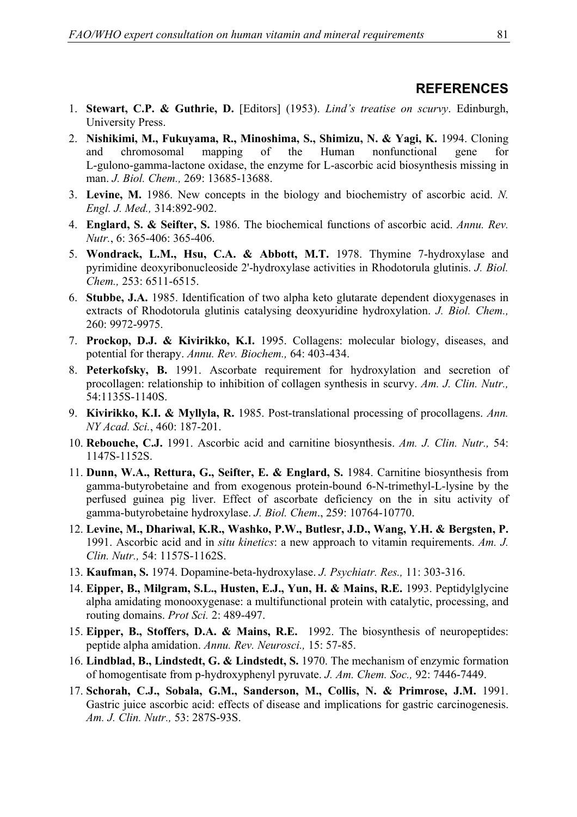# **REFERENCES**

- 1. **Stewart, C.P. & Guthrie, D.** [Editors] (1953). *Lind's treatise on scurvy*. Edinburgh, University Press.
- 2. **Nishikimi, M., Fukuyama, R., Minoshima, S., Shimizu, N. & Yagi, K.** 1994. Cloning and chromosomal mapping of the Human nonfunctional gene for L-gulono-gamma-lactone oxidase, the enzyme for L-ascorbic acid biosynthesis missing in man. *J. Biol. Chem.,* 269: 13685-13688.
- 3. **Levine, M.** 1986. New concepts in the biology and biochemistry of ascorbic acid. *N. Engl. J. Med.,* 314:892-902.
- 4. **Englard, S. & Seifter, S.** 1986. The biochemical functions of ascorbic acid. *Annu. Rev. Nutr.*, 6: 365-406: 365-406.
- 5. **Wondrack, L.M., Hsu, C.A. & Abbott, M.T.** 1978. Thymine 7-hydroxylase and pyrimidine deoxyribonucleoside 2'-hydroxylase activities in Rhodotorula glutinis. *J. Biol. Chem.,* 253: 6511-6515.
- 6. **Stubbe, J.A.** 1985. Identification of two alpha keto glutarate dependent dioxygenases in extracts of Rhodotorula glutinis catalysing deoxyuridine hydroxylation. *J. Biol. Chem.,* 260: 9972-9975.
- 7. **Prockop, D.J. & Kivirikko, K.I.** 1995. Collagens: molecular biology, diseases, and potential for therapy. *Annu. Rev. Biochem.,* 64: 403-434.
- 8. **Peterkofsky, B.** 1991. Ascorbate requirement for hydroxylation and secretion of procollagen: relationship to inhibition of collagen synthesis in scurvy. *Am. J. Clin. Nutr.,* 54:1135S-1140S.
- 9. **Kivirikko, K.I. & Myllyla, R.** 1985. Post-translational processing of procollagens. *Ann. NY Acad. Sci.*, 460: 187-201.
- 10. **Rebouche, C.J.** 1991. Ascorbic acid and carnitine biosynthesis. *Am. J. Clin. Nutr.,* 54: 1147S-1152S.
- 11. **Dunn, W.A., Rettura, G., Seifter, E. & Englard, S.** 1984. Carnitine biosynthesis from gamma-butyrobetaine and from exogenous protein-bound 6-N-trimethyl-L-lysine by the perfused guinea pig liver. Effect of ascorbate deficiency on the in situ activity of gamma-butyrobetaine hydroxylase. *J. Biol. Chem*., 259: 10764-10770.
- 12. **Levine, M., Dhariwal, K.R., Washko, P.W., Butlesr, J.D., Wang, Y.H. & Bergsten, P.** 1991. Ascorbic acid and in *situ kinetics*: a new approach to vitamin requirements. *Am. J. Clin. Nutr.,* 54: 1157S-1162S.
- 13. **Kaufman, S.** 1974. Dopamine-beta-hydroxylase. *J. Psychiatr. Res.,* 11: 303-316.
- 14. **Eipper, B., Milgram, S.L., Husten, E.J., Yun, H. & Mains, R.E.** 1993. Peptidylglycine alpha amidating monooxygenase: a multifunctional protein with catalytic, processing, and routing domains. *Prot Sci.* 2: 489-497.
- 15. **Eipper, B., Stoffers, D.A. & Mains, R.E.** 1992. The biosynthesis of neuropeptides: peptide alpha amidation. *Annu. Rev. Neurosci.,* 15: 57-85.
- 16. **Lindblad, B., Lindstedt, G. & Lindstedt, S.** 1970. The mechanism of enzymic formation of homogentisate from p-hydroxyphenyl pyruvate. *J. Am. Chem. Soc.,* 92: 7446-7449.
- 17. **Schorah, C.J., Sobala, G.M., Sanderson, M., Collis, N. & Primrose, J.M.** 1991. Gastric juice ascorbic acid: effects of disease and implications for gastric carcinogenesis. *Am. J. Clin. Nutr.,* 53: 287S-93S.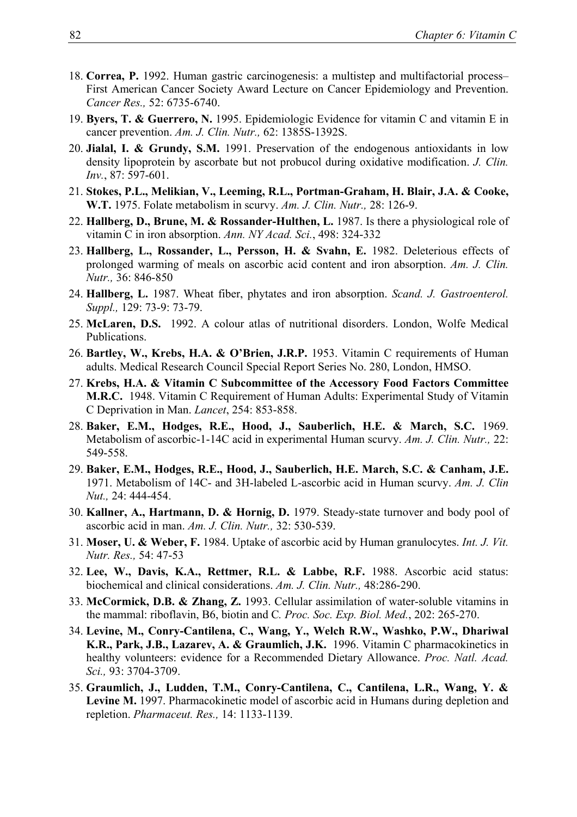- 18. **Correa, P.** 1992. Human gastric carcinogenesis: a multistep and multifactorial process– First American Cancer Society Award Lecture on Cancer Epidemiology and Prevention. *Cancer Res.,* 52: 6735-6740.
- 19. **Byers, T. & Guerrero, N.** 1995. Epidemiologic Evidence for vitamin C and vitamin E in cancer prevention. *Am. J. Clin. Nutr.,* 62: 1385S-1392S.
- 20. **Jialal, I. & Grundy, S.M.** 1991. Preservation of the endogenous antioxidants in low density lipoprotein by ascorbate but not probucol during oxidative modification. *J. Clin. Inv.*, 87: 597-601.
- 21. **Stokes, P.L., Melikian, V., Leeming, R.L., Portman-Graham, H. Blair, J.A. & Cooke, W.T.** 1975. Folate metabolism in scurvy. *Am. J. Clin. Nutr.,* 28: 126-9.
- 22. **Hallberg, D., Brune, M. & Rossander-Hulthen, L.** 1987. Is there a physiological role of vitamin C in iron absorption. *Ann. NY Acad. Sci.*, 498: 324-332
- 23. **Hallberg, L., Rossander, L., Persson, H. & Svahn, E.** 1982. Deleterious effects of prolonged warming of meals on ascorbic acid content and iron absorption. *Am. J. Clin. Nutr.,* 36: 846-850
- 24. **Hallberg, L.** 1987. Wheat fiber, phytates and iron absorption. *Scand. J. Gastroenterol. Suppl.,* 129: 73-9: 73-79.
- 25. **McLaren, D.S.** 1992. A colour atlas of nutritional disorders. London, Wolfe Medical Publications.
- 26. **Bartley, W., Krebs, H.A. & O'Brien, J.R.P.** 1953. Vitamin C requirements of Human adults. Medical Research Council Special Report Series No. 280, London, HMSO.
- 27. **Krebs, H.A. & Vitamin C Subcommittee of the Accessory Food Factors Committee M.R.C.** 1948. Vitamin C Requirement of Human Adults: Experimental Study of Vitamin C Deprivation in Man. *Lancet*, 254: 853-858.
- 28. **Baker, E.M., Hodges, R.E., Hood, J., Sauberlich, H.E. & March, S.C.** 1969. Metabolism of ascorbic-1-14C acid in experimental Human scurvy. *Am. J. Clin. Nutr.,* 22: 549-558.
- 29. **Baker, E.M., Hodges, R.E., Hood, J., Sauberlich, H.E. March, S.C. & Canham, J.E.** 1971. Metabolism of 14C- and 3H-labeled L-ascorbic acid in Human scurvy. *Am. J. Clin Nut.,* 24: 444-454.
- 30. **Kallner, A., Hartmann, D. & Hornig, D.** 1979. Steady-state turnover and body pool of ascorbic acid in man. *Am. J. Clin. Nutr.,* 32: 530-539.
- 31. **Moser, U. & Weber, F.** 1984. Uptake of ascorbic acid by Human granulocytes. *Int. J. Vit. Nutr. Res.,* 54: 47-53
- 32. **Lee, W., Davis, K.A., Rettmer, R.L. & Labbe, R.F.** 1988. Ascorbic acid status: biochemical and clinical considerations. *Am. J. Clin. Nutr.,* 48:286-290.
- 33. **McCormick, D.B. & Zhang, Z.** 1993. Cellular assimilation of water-soluble vitamins in the mammal: riboflavin, B6, biotin and C*. Proc. Soc. Exp. Biol. Med.*, 202: 265-270.
- 34. **Levine, M., Conry-Cantilena, C., Wang, Y., Welch R.W., Washko, P.W., Dhariwal K.R., Park, J.B., Lazarev, A. & Graumlich, J.K.** 1996. Vitamin C pharmacokinetics in healthy volunteers: evidence for a Recommended Dietary Allowance. *Proc. Natl. Acad. Sci.,* 93: 3704-3709.
- 35. **Graumlich, J., Ludden, T.M., Conry-Cantilena, C., Cantilena, L.R., Wang, Y. & Levine M.** 1997. Pharmacokinetic model of ascorbic acid in Humans during depletion and repletion. *Pharmaceut. Res.,* 14: 1133-1139.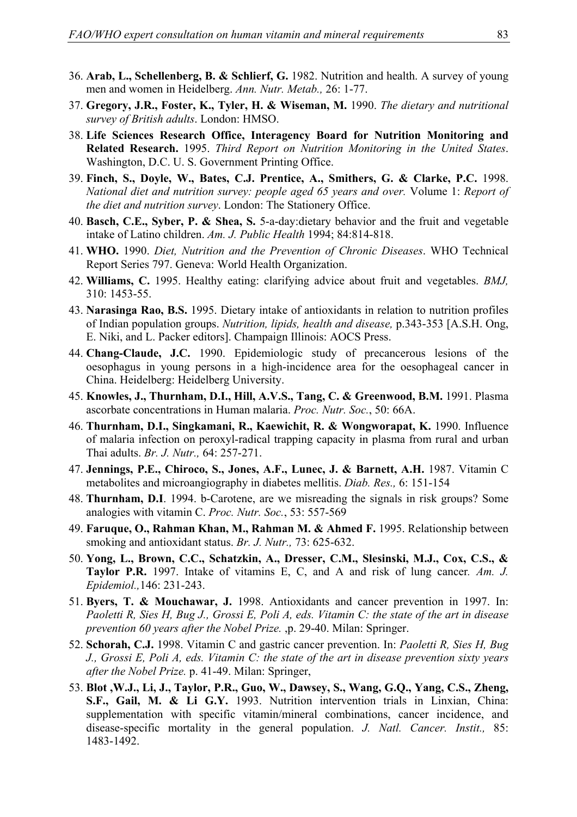- 36. **Arab, L., Schellenberg, B. & Schlierf, G.** 1982. Nutrition and health. A survey of young men and women in Heidelberg. *Ann. Nutr. Metab.,* 26: 1-77.
- 37. **Gregory, J.R., Foster, K., Tyler, H. & Wiseman, M.** 1990. *The dietary and nutritional survey of British adults*. London: HMSO.
- 38. **Life Sciences Research Office, Interagency Board for Nutrition Monitoring and Related Research.** 1995. *Third Report on Nutrition Monitoring in the United States*. Washington, D.C. U. S. Government Printing Office.
- 39. **Finch, S., Doyle, W., Bates, C.J. Prentice, A., Smithers, G. & Clarke, P.C.** 1998. *National diet and nutrition survey: people aged 65 years and over.* Volume 1: *Report of the diet and nutrition survey*. London: The Stationery Office.
- 40. **Basch, C.E., Syber, P. & Shea, S.** 5-a-day:dietary behavior and the fruit and vegetable intake of Latino children. *Am. J. Public Health* 1994; 84:814-818.
- 41. **WHO.** 1990. *Diet, Nutrition and the Prevention of Chronic Diseases*. WHO Technical Report Series 797. Geneva: World Health Organization.
- 42. **Williams, C.** 1995. Healthy eating: clarifying advice about fruit and vegetables. *BMJ,* 310: 1453-55.
- 43. **Narasinga Rao, B.S.** 1995. Dietary intake of antioxidants in relation to nutrition profiles of Indian population groups. *Nutrition, lipids, health and disease,* p.343-353 [A.S.H. Ong, E. Niki, and L. Packer editors]. Champaign Illinois: AOCS Press.
- 44. **Chang-Claude, J.C.** 1990. Epidemiologic study of precancerous lesions of the oesophagus in young persons in a high-incidence area for the oesophageal cancer in China. Heidelberg: Heidelberg University.
- 45. **Knowles, J., Thurnham, D.I., Hill, A.V.S., Tang, C. & Greenwood, B.M.** 1991. Plasma ascorbate concentrations in Human malaria. *Proc. Nutr. Soc.*, 50: 66A.
- 46. **Thurnham, D.I., Singkamani, R., Kaewichit, R. & Wongworapat, K.** 1990. Influence of malaria infection on peroxyl-radical trapping capacity in plasma from rural and urban Thai adults. *Br. J. Nutr.,* 64: 257-271.
- 47. **Jennings, P.E., Chiroco, S., Jones, A.F., Lunec, J. & Barnett, A.H.** 1987. Vitamin C metabolites and microangiography in diabetes mellitis. *Diab. Res.,* 6: 151-154
- 48. **Thurnham, D.I**. 1994. b-Carotene, are we misreading the signals in risk groups? Some analogies with vitamin C. *Proc. Nutr. Soc.*, 53: 557-569
- 49. **Faruque, O., Rahman Khan, M., Rahman M. & Ahmed F.** 1995. Relationship between smoking and antioxidant status. *Br. J. Nutr.,* 73: 625-632.
- 50. **Yong, L., Brown, C.C., Schatzkin, A., Dresser, C.M., Slesinski, M.J., Cox, C.S., & Taylor P.R.** 1997. Intake of vitamins E, C, and A and risk of lung cancer*. Am. J. Epidemiol.,*146: 231-243.
- 51. **Byers, T. & Mouchawar, J.** 1998. Antioxidants and cancer prevention in 1997. In: *Paoletti R, Sies H, Bug J., Grossi E, Poli A, eds. Vitamin C: the state of the art in disease prevention 60 years after the Nobel Prize.* ,p. 29-40. Milan: Springer.
- 52. **Schorah, C.J.** 1998. Vitamin C and gastric cancer prevention. In: *Paoletti R, Sies H, Bug J., Grossi E, Poli A, eds. Vitamin C: the state of the art in disease prevention sixty years after the Nobel Prize.* p. 41-49. Milan: Springer,
- 53. **Blot ,W.J., Li, J., Taylor, P.R., Guo, W., Dawsey, S., Wang, G.Q., Yang, C.S., Zheng, S.F., Gail, M. & Li G.Y.** 1993. Nutrition intervention trials in Linxian, China: supplementation with specific vitamin/mineral combinations, cancer incidence, and disease-specific mortality in the general population. *J. Natl. Cancer. Instit.,* 85: 1483-1492.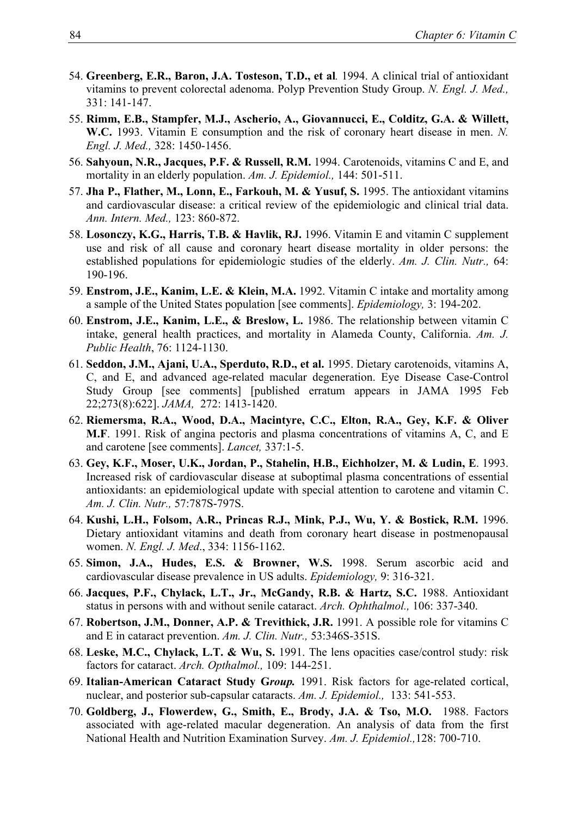- 54. **Greenberg, E.R., Baron, J.A. Tosteson, T.D., et al***.* 1994. A clinical trial of antioxidant vitamins to prevent colorectal adenoma. Polyp Prevention Study Group. *N. Engl. J. Med.,* 331: 141-147.
- 55. **Rimm, E.B., Stampfer, M.J., Ascherio, A., Giovannucci, E., Colditz, G.A. & Willett, W.C.** 1993. Vitamin E consumption and the risk of coronary heart disease in men. *N. Engl. J. Med.,* 328: 1450-1456.
- 56. **Sahyoun, N.R., Jacques, P.F. & Russell, R.M.** 1994. Carotenoids, vitamins C and E, and mortality in an elderly population. *Am. J. Epidemiol.,* 144: 501-511.
- 57. **Jha P., Flather, M., Lonn, E., Farkouh, M. & Yusuf, S.** 1995. The antioxidant vitamins and cardiovascular disease: a critical review of the epidemiologic and clinical trial data. *Ann. Intern. Med.,* 123: 860-872.
- 58. **Losonczy, K.G., Harris, T.B. & Havlik, RJ.** 1996. Vitamin E and vitamin C supplement use and risk of all cause and coronary heart disease mortality in older persons: the established populations for epidemiologic studies of the elderly. *Am. J. Clin. Nutr.,* 64: 190-196.
- 59. **Enstrom, J.E., Kanim, L.E. & Klein, M.A.** 1992. Vitamin C intake and mortality among a sample of the United States population [see comments]. *Epidemiology,* 3: 194-202.
- 60. **Enstrom, J.E., Kanim, L.E., & Breslow, L.** 1986. The relationship between vitamin C intake, general health practices, and mortality in Alameda County, California. *Am. J. Public Health*, 76: 1124-1130.
- 61. **Seddon, J.M., Ajani, U.A., Sperduto, R.D., et al.** 1995. Dietary carotenoids, vitamins A, C, and E, and advanced age-related macular degeneration. Eye Disease Case-Control Study Group [see comments] [published erratum appears in JAMA 1995 Feb 22;273(8):622]. *JAMA,* 272: 1413-1420.
- 62. **Riemersma, R.A., Wood, D.A., Macintyre, C.C., Elton, R.A., Gey, K.F. & Oliver M.F**. 1991. Risk of angina pectoris and plasma concentrations of vitamins A, C, and E and carotene [see comments]. *Lancet,* 337:1-5.
- 63. **Gey, K.F., Moser, U.K., Jordan, P., Stahelin, H.B., Eichholzer, M. & Ludin, E**. 1993. Increased risk of cardiovascular disease at suboptimal plasma concentrations of essential antioxidants: an epidemiological update with special attention to carotene and vitamin C. *Am. J. Clin. Nutr.,* 57:787S-797S.
- 64. **Kushi, L.H., Folsom, A.R., Princas R.J., Mink, P.J., Wu, Y. & Bostick, R.M.** 1996. Dietary antioxidant vitamins and death from coronary heart disease in postmenopausal women. *N. Engl. J. Med*., 334: 1156-1162.
- 65. **Simon, J.A., Hudes, E.S. & Browner, W.S.** 1998. Serum ascorbic acid and cardiovascular disease prevalence in US adults. *Epidemiology,* 9: 316-321.
- 66. **Jacques, P.F., Chylack, L.T., Jr., McGandy, R.B. & Hartz, S.C.** 1988. Antioxidant status in persons with and without senile cataract. *Arch. Ophthalmol.,* 106: 337-340.
- 67. **Robertson, J.M., Donner, A.P. & Trevithick, J.R.** 1991. A possible role for vitamins C and E in cataract prevention. *Am. J. Clin. Nutr.,* 53:346S-351S.
- 68. **Leske, M.C., Chylack, L.T. & Wu, S.** 1991. The lens opacities case/control study: risk factors for cataract. *Arch. Opthalmol.,* 109: 144-251.
- 69. **Italian-American Cataract Study G***roup.* 1991. Risk factors for age-related cortical, nuclear, and posterior sub-capsular cataracts. *Am. J. Epidemiol.,* 133: 541-553.
- 70. **Goldberg, J., Flowerdew, G., Smith, E., Brody, J.A. & Tso, M.O.** 1988. Factors associated with age-related macular degeneration. An analysis of data from the first National Health and Nutrition Examination Survey. *Am. J. Epidemiol.,*128: 700-710.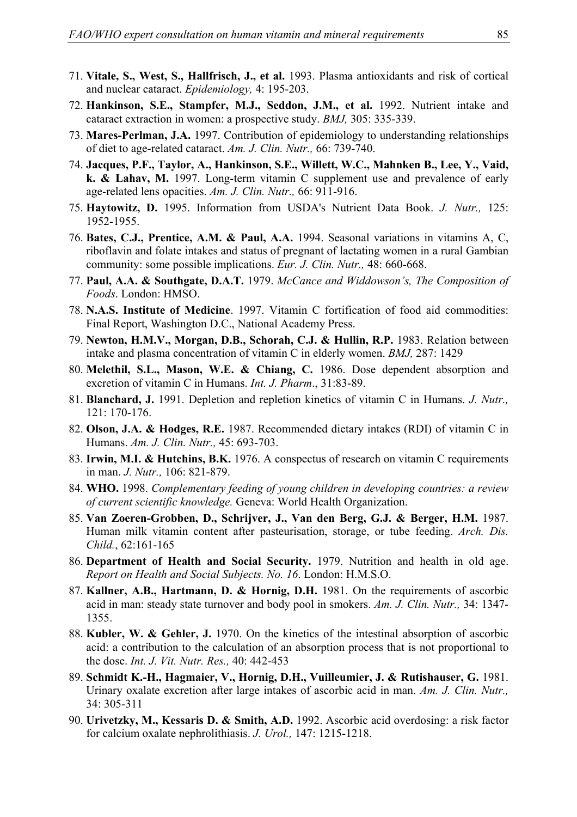- 71. **Vitale, S., West, S., Hallfrisch, J., et al.** 1993. Plasma antioxidants and risk of cortical and nuclear cataract. *Epidemiology,* 4: 195-203.
- 72. **Hankinson, S.E., Stampfer, M.J., Seddon, J.M., et al.** 1992. Nutrient intake and cataract extraction in women: a prospective study. *BMJ,* 305: 335-339.
- 73. **Mares-Perlman, J.A.** 1997. Contribution of epidemiology to understanding relationships of diet to age-related cataract. *Am. J. Clin. Nutr.,* 66: 739-740.
- 74. **Jacques, P.F., Taylor, A., Hankinson, S.E., Willett, W.C., Mahnken B., Lee, Y., Vaid, k. & Lahav, M.** 1997. Long-term vitamin C supplement use and prevalence of early age-related lens opacities. *Am. J. Clin. Nutr.,* 66: 911-916.
- 75. **Haytowitz, D.** 1995. Information from USDA's Nutrient Data Book. *J. Nutr.,* 125: 1952-1955.
- 76. **Bates, C.J., Prentice, A.M. & Paul, A.A.** 1994. Seasonal variations in vitamins A, C, riboflavin and folate intakes and status of pregnant of lactating women in a rural Gambian community: some possible implications. *Eur. J. Clin. Nutr.,* 48: 660-668.
- 77. **Paul, A.A. & Southgate, D.A.T.** 1979. *McCance and Widdowson's, The Composition of Foods*. London: HMSO.
- 78. **N.A.S. Institute of Medicine**. 1997. Vitamin C fortification of food aid commodities: Final Report, Washington D.C., National Academy Press.
- 79. **Newton, H.M.V., Morgan, D.B., Schorah, C.J. & Hullin, R.P.** 1983. Relation between intake and plasma concentration of vitamin C in elderly women. *BMJ,* 287: 1429
- 80. **Melethil, S.L., Mason, W.E. & Chiang, C.** 1986. Dose dependent absorption and excretion of vitamin C in Humans. *Int. J. Pharm*., 31:83-89.
- 81. **Blanchard, J.** 1991. Depletion and repletion kinetics of vitamin C in Humans. *J. Nutr.,* 121: 170-176.
- 82. **Olson, J.A. & Hodges, R.E.** 1987. Recommended dietary intakes (RDI) of vitamin C in Humans. *Am. J. Clin. Nutr.,* 45: 693-703.
- 83. **Irwin, M.I. & Hutchins, B.K.** 1976. A conspectus of research on vitamin C requirements in man. *J. Nutr.,* 106: 821-879.
- 84. **WHO.** 1998. *Complementary feeding of young children in developing countries: a review of current scientific knowledge.* Geneva: World Health Organization.
- 85. **Van Zoeren-Grobben, D., Schrijver, J., Van den Berg, G.J. & Berger, H.M.** 1987. Human milk vitamin content after pasteurisation, storage, or tube feeding. *Arch. Dis. Child.*, 62:161-165
- 86. **Department of Health and Social Security.** 1979. Nutrition and health in old age. *Report on Health and Social Subjects. No. 16*. London: H.M.S.O.
- 87. **Kallner, A.B., Hartmann, D. & Hornig, D.H.** 1981. On the requirements of ascorbic acid in man: steady state turnover and body pool in smokers. *Am. J. Clin. Nutr.,* 34: 1347- 1355.
- 88. **Kubler, W. & Gehler, J.** 1970. On the kinetics of the intestinal absorption of ascorbic acid: a contribution to the calculation of an absorption process that is not proportional to the dose. *Int. J. Vit. Nutr. Res.,* 40: 442-453
- 89. **Schmidt K.-H., Hagmaier, V., Hornig, D.H., Vuilleumier, J. & Rutishauser, G.** 1981. Urinary oxalate excretion after large intakes of ascorbic acid in man. *Am. J. Clin. Nutr.,* 34: 305-311
- 90. **Urivetzky, M., Kessaris D. & Smith, A.D.** 1992. Ascorbic acid overdosing: a risk factor for calcium oxalate nephrolithiasis. *J. Urol.,* 147: 1215-1218.